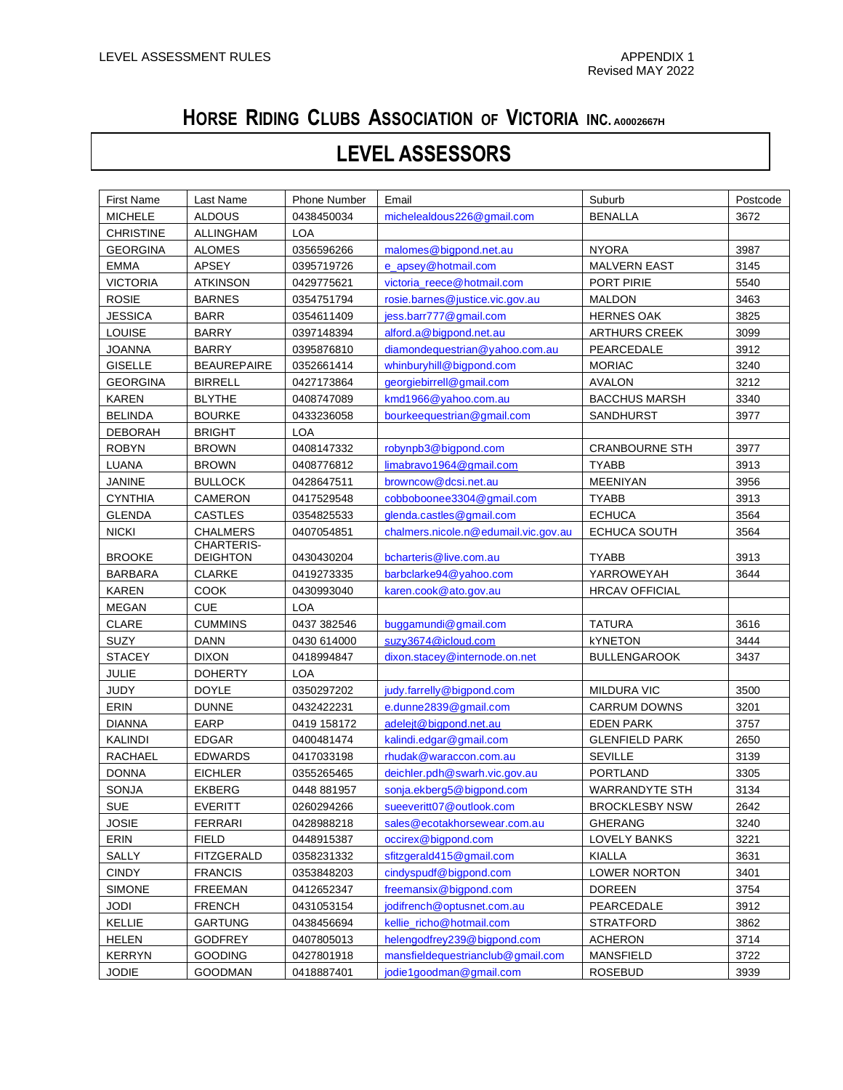## **HORSE RIDING CLUBS ASSOCIATION OF VICTORIA INC. A0002667H**

## **LEVEL ASSESSORS**

| First Name       | Last Name          | Phone Number | Email                                | Suburb                | Postcode |
|------------------|--------------------|--------------|--------------------------------------|-----------------------|----------|
| <b>MICHELE</b>   | <b>ALDOUS</b>      | 0438450034   | michelealdous226@gmail.com           | <b>BENALLA</b>        | 3672     |
| <b>CHRISTINE</b> | <b>ALLINGHAM</b>   | <b>LOA</b>   |                                      |                       |          |
| <b>GEORGINA</b>  | <b>ALOMES</b>      | 0356596266   | malomes@bigpond.net.au               | <b>NYORA</b>          | 3987     |
| <b>EMMA</b>      | APSEY              | 0395719726   | e apsey@hotmail.com                  | <b>MALVERN EAST</b>   | 3145     |
| <b>VICTORIA</b>  | <b>ATKINSON</b>    | 0429775621   | victoria_reece@hotmail.com           | PORT PIRIE            | 5540     |
| <b>ROSIE</b>     | <b>BARNES</b>      | 0354751794   | rosie.barnes@justice.vic.gov.au      | <b>MALDON</b>         | 3463     |
| <b>JESSICA</b>   | <b>BARR</b>        | 0354611409   | jess.barr777@gmail.com               | <b>HERNES OAK</b>     | 3825     |
| LOUISE           | <b>BARRY</b>       | 0397148394   | alford.a@bigpond.net.au              | <b>ARTHURS CREEK</b>  | 3099     |
| <b>JOANNA</b>    | <b>BARRY</b>       | 0395876810   | diamondequestrian@yahoo.com.au       | PEARCEDALE            | 3912     |
| <b>GISELLE</b>   | <b>BEAUREPAIRE</b> | 0352661414   | whinburyhill@bigpond.com             | <b>MORIAC</b>         | 3240     |
| <b>GEORGINA</b>  | <b>BIRRELL</b>     | 0427173864   | georgiebirrell@gmail.com             | <b>AVALON</b>         | 3212     |
| <b>KAREN</b>     | <b>BLYTHE</b>      | 0408747089   | kmd1966@yahoo.com.au                 | <b>BACCHUS MARSH</b>  | 3340     |
| <b>BELINDA</b>   | <b>BOURKE</b>      | 0433236058   | bourkeequestrian@gmail.com           | SANDHURST             | 3977     |
| <b>DEBORAH</b>   | <b>BRIGHT</b>      | <b>LOA</b>   |                                      |                       |          |
| <b>ROBYN</b>     | <b>BROWN</b>       | 0408147332   | robynpb3@bigpond.com                 | <b>CRANBOURNE STH</b> | 3977     |
| LUANA            | <b>BROWN</b>       | 0408776812   | limabrayo1964@gmail.com              | <b>TYABB</b>          | 3913     |
| JANINE           | <b>BULLOCK</b>     | 0428647511   | browncow@dcsi.net.au                 | <b>MEENIYAN</b>       | 3956     |
| <b>CYNTHIA</b>   | CAMERON            | 0417529548   | cobboboonee3304@gmail.com            | <b>TYABB</b>          | 3913     |
| <b>GLENDA</b>    | <b>CASTLES</b>     | 0354825533   | glenda.castles@gmail.com             | <b>ECHUCA</b>         | 3564     |
| <b>NICKI</b>     | <b>CHALMERS</b>    | 0407054851   | chalmers.nicole.n@edumail.vic.gov.au | ECHUCA SOUTH          | 3564     |
|                  | CHARTERIS-         |              |                                      |                       |          |
| <b>BROOKE</b>    | <b>DEIGHTON</b>    | 0430430204   | bcharteris@live.com.au               | <b>TYABB</b>          | 3913     |
| <b>BARBARA</b>   | <b>CLARKE</b>      | 0419273335   | barbclarke94@yahoo.com               | YARROWEYAH            | 3644     |
| <b>KAREN</b>     | <b>COOK</b>        | 0430993040   | karen.cook@ato.gov.au                | <b>HRCAV OFFICIAL</b> |          |
| <b>MEGAN</b>     | <b>CUE</b>         | <b>LOA</b>   |                                      |                       |          |
| CLARE            | <b>CUMMINS</b>     | 0437 382546  | buggamundi@gmail.com                 | <b>TATURA</b>         | 3616     |
| <b>SUZY</b>      | <b>DANN</b>        | 0430 614000  | suzy3674@icloud.com                  | <b>kYNETON</b>        | 3444     |
| <b>STACEY</b>    | <b>DIXON</b>       | 0418994847   | dixon.stacey@internode.on.net        | <b>BULLENGAROOK</b>   | 3437     |
| <b>JULIE</b>     | <b>DOHERTY</b>     | <b>LOA</b>   |                                      |                       |          |
| <b>JUDY</b>      | <b>DOYLE</b>       | 0350297202   | judy.farrelly@bigpond.com            | MILDURA VIC           | 3500     |
| ERIN             | <b>DUNNE</b>       | 0432422231   | e.dunne2839@gmail.com                | <b>CARRUM DOWNS</b>   | 3201     |
| <b>DIANNA</b>    | EARP               | 0419 158172  | adeleit@bigpond.net.au               | <b>EDEN PARK</b>      | 3757     |
| KALINDI          | <b>EDGAR</b>       | 0400481474   | kalindi.edgar@gmail.com              | <b>GLENFIELD PARK</b> | 2650     |
| RACHAEL          | <b>EDWARDS</b>     | 0417033198   | rhudak@waraccon.com.au               | <b>SEVILLE</b>        | 3139     |
| <b>DONNA</b>     | <b>EICHLER</b>     | 0355265465   | deichler.pdh@swarh.vic.gov.au        | PORTLAND              | 3305     |
| SONJA            | <b>EKBERG</b>      | 0448 881957  | sonja.ekberg5@bigpond.com            | <b>WARRANDYTE STH</b> | 3134     |
| <b>SUE</b>       | <b>EVERITT</b>     | 0260294266   | sueeveritt07@outlook.com             | <b>BROCKLESBY NSW</b> | 2642     |
| <b>JOSIE</b>     | <b>FERRARI</b>     | 0428988218   | sales@ecotakhorsewear.com.au         | <b>GHERANG</b>        | 3240     |
| ERIN             | <b>FIELD</b>       | 0448915387   | occirex@bigpond.com                  | LOVELY BANKS          | 3221     |
| SALLY            | FITZGERALD         | 0358231332   | sfitzgerald415@gmail.com             | <b>KIALLA</b>         | 3631     |
| <b>CINDY</b>     | <b>FRANCIS</b>     | 0353848203   | cindyspudf@bigpond.com               | <b>LOWER NORTON</b>   | 3401     |
| <b>SIMONE</b>    | <b>FREEMAN</b>     | 0412652347   | freemansix@bigpond.com               | <b>DOREEN</b>         | 3754     |
| <b>JODI</b>      | <b>FRENCH</b>      | 0431053154   | jodifrench@optusnet.com.au           | PEARCEDALE            | 3912     |
| <b>KELLIE</b>    | <b>GARTUNG</b>     | 0438456694   | kellie_richo@hotmail.com             | <b>STRATFORD</b>      | 3862     |
| <b>HELEN</b>     | <b>GODFREY</b>     | 0407805013   | helengodfrey239@bigpond.com          | <b>ACHERON</b>        | 3714     |
| <b>KERRYN</b>    | <b>GOODING</b>     | 0427801918   | mansfieldequestrianclub@gmail.com    | <b>MANSFIELD</b>      | 3722     |
| <b>JODIE</b>     | <b>GOODMAN</b>     | 0418887401   | jodie1goodman@gmail.com              | <b>ROSEBUD</b>        | 3939     |
|                  |                    |              |                                      |                       |          |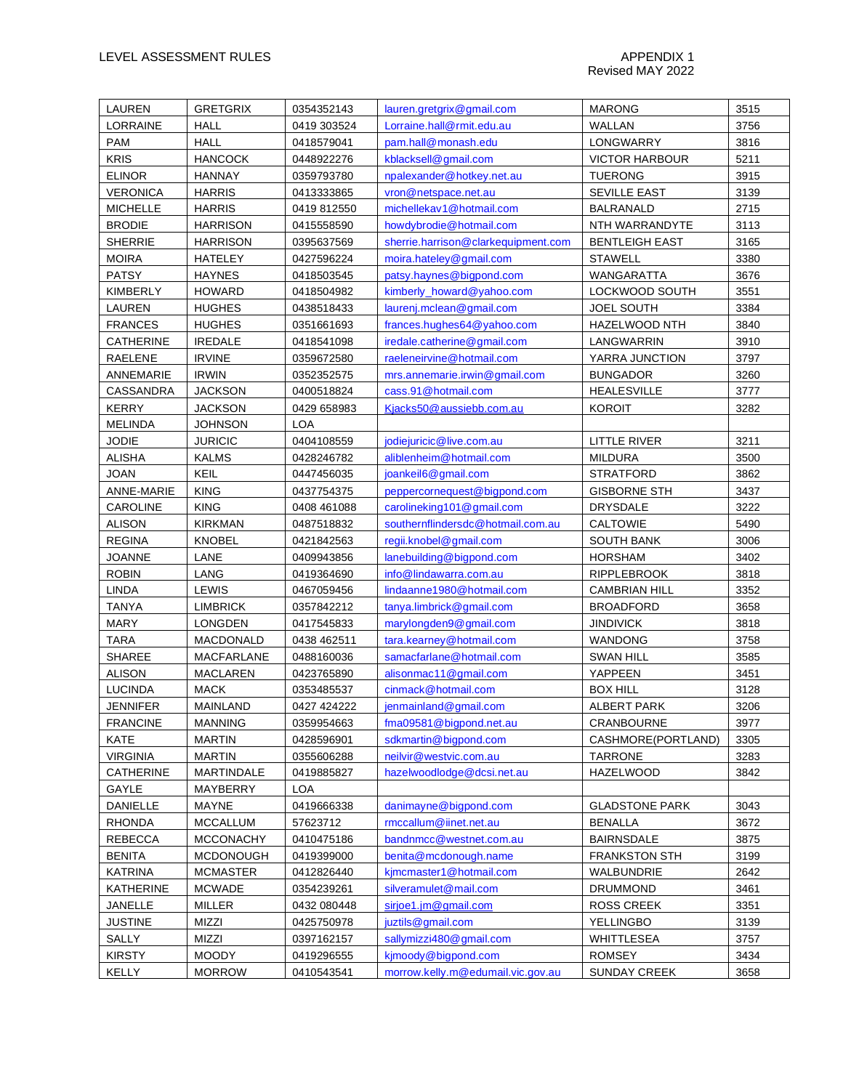| LAUREN           | <b>GRETGRIX</b>                      | 0354352143  | lauren.gretgrix@gmail.com                        | <b>MARONG</b>         | 3515         |
|------------------|--------------------------------------|-------------|--------------------------------------------------|-----------------------|--------------|
| LORRAINE         | <b>HALL</b>                          | 0419 303524 | Lorraine.hall@rmit.edu.au                        | WALLAN                | 3756         |
| <b>PAM</b>       | <b>HALL</b>                          | 0418579041  | pam.hall@monash.edu                              | LONGWARRY             | 3816         |
| <b>KRIS</b>      | <b>HANCOCK</b>                       | 0448922276  | kblacksell@gmail.com                             | <b>VICTOR HARBOUR</b> | 5211         |
| <b>ELINOR</b>    | <b>HANNAY</b>                        | 0359793780  | npalexander@hotkey.net.au                        | <b>TUERONG</b>        | 3915         |
| <b>VERONICA</b>  | <b>HARRIS</b>                        | 0413333865  | vron@netspace.net.au                             | <b>SEVILLE EAST</b>   | 3139         |
| <b>MICHELLE</b>  | <b>HARRIS</b>                        | 0419 812550 | michellekav1@hotmail.com                         | <b>BALRANALD</b>      | 2715         |
| <b>BRODIE</b>    | <b>HARRISON</b>                      | 0415558590  | howdybrodie@hotmail.com                          | NTH WARRANDYTE        | 3113         |
| <b>SHERRIE</b>   | <b>HARRISON</b>                      | 0395637569  | sherrie.harrison@clarkequipment.com              | <b>BENTLEIGH EAST</b> | 3165         |
| <b>MOIRA</b>     | HATELEY                              | 0427596224  | moira.hateley@gmail.com                          | <b>STAWELL</b>        | 3380         |
| <b>PATSY</b>     | <b>HAYNES</b>                        | 0418503545  | patsy.haynes@bigpond.com                         | WANGARATTA            | 3676         |
| KIMBERLY         | <b>HOWARD</b>                        | 0418504982  | kimberly_howard@yahoo.com                        | LOCKWOOD SOUTH        | 3551         |
| LAUREN           | <b>HUGHES</b>                        | 0438518433  | laurenj.mclean@gmail.com                         | <b>JOEL SOUTH</b>     | 3384         |
| <b>FRANCES</b>   | <b>HUGHES</b>                        | 0351661693  | frances.hughes64@yahoo.com                       | <b>HAZELWOOD NTH</b>  | 3840         |
| <b>CATHERINE</b> | <b>IREDALE</b>                       | 0418541098  | iredale.catherine@gmail.com                      | LANGWARRIN            | 3910         |
| RAELENE          | <b>IRVINE</b>                        | 0359672580  | raeleneirvine@hotmail.com                        | YARRA JUNCTION        | 3797         |
| ANNEMARIE        | <b>IRWIN</b>                         | 0352352575  | mrs.annemarie.irwin@gmail.com                    | <b>BUNGADOR</b>       | 3260         |
| CASSANDRA        | <b>JACKSON</b>                       | 0400518824  | cass.91@hotmail.com                              | <b>HEALESVILLE</b>    | 3777         |
| <b>KERRY</b>     | <b>JACKSON</b>                       | 0429 658983 | Kjacks50@aussiebb.com.au                         | <b>KOROIT</b>         | 3282         |
| <b>MELINDA</b>   | <b>JOHNSON</b>                       | <b>LOA</b>  |                                                  |                       |              |
| <b>JODIE</b>     | <b>JURICIC</b>                       | 0404108559  | jodiejuricic@live.com.au                         | LITTLE RIVER          | 3211         |
| <b>ALISHA</b>    | <b>KALMS</b>                         | 0428246782  | aliblenheim@hotmail.com                          | <b>MILDURA</b>        | 3500         |
| <b>JOAN</b>      | KEIL                                 | 0447456035  | joankeil6@gmail.com                              | <b>STRATFORD</b>      | 3862         |
| ANNE-MARIE       | <b>KING</b>                          | 0437754375  | peppercornequest@bigpond.com                     | <b>GISBORNE STH</b>   | 3437         |
| <b>CAROLINE</b>  | <b>KING</b>                          | 0408 461088 | carolineking101@gmail.com                        | <b>DRYSDALE</b>       | 3222         |
| <b>ALISON</b>    | <b>KIRKMAN</b>                       | 0487518832  | southernflindersdc@hotmail.com.au                | <b>CALTOWIE</b>       | 5490         |
| <b>REGINA</b>    | <b>KNOBEL</b>                        | 0421842563  | regii.knobel@gmail.com                           | <b>SOUTH BANK</b>     | 3006         |
| <b>JOANNE</b>    | LANE                                 | 0409943856  | lanebuilding@bigpond.com                         | <b>HORSHAM</b>        | 3402         |
| <b>ROBIN</b>     | LANG                                 | 0419364690  | info@lindawarra.com.au                           | <b>RIPPLEBROOK</b>    | 3818         |
| LINDA            | <b>LEWIS</b>                         | 0467059456  | lindaanne1980@hotmail.com                        | <b>CAMBRIAN HILL</b>  | 3352         |
| <b>TANYA</b>     | <b>LIMBRICK</b>                      | 0357842212  | tanya.limbrick@gmail.com                         | <b>BROADFORD</b>      | 3658         |
| <b>MARY</b>      | <b>LONGDEN</b>                       | 0417545833  | marylongden9@gmail.com                           | <b>JINDIVICK</b>      | 3818         |
| <b>TARA</b>      | MACDONALD                            | 0438 462511 | tara.kearney@hotmail.com                         | <b>WANDONG</b>        | 3758         |
| <b>SHAREE</b>    | <b>MACFARLANE</b>                    | 0488160036  | samacfarlane@hotmail.com                         | <b>SWAN HILL</b>      | 3585         |
| <b>ALISON</b>    | <b>MACLAREN</b>                      | 0423765890  | alisonmac11@gmail.com                            | YAPPEEN               | 3451         |
| <b>LUCINDA</b>   | <b>MACK</b>                          | 0353485537  | cinmack@hotmail.com                              | <b>BOX HILL</b>       | 3128         |
| <b>JENNIFER</b>  | MAINLAND                             | 0427 424222 | jenmainland@gmail.com                            | ALBERT PARK           | 3206         |
| <b>FRANCINE</b>  | <b>MANNING</b>                       | 0359954663  | fma09581@bigpond.net.au                          | CRANBOURNE            | 3977         |
| <b>KATE</b>      | <b>MARTIN</b>                        | 0428596901  | sdkmartin@bigpond.com                            | CASHMORE(PORTLAND)    | 3305         |
| <b>VIRGINIA</b>  | <b>MARTIN</b>                        | 0355606288  | neilvir@westvic.com.au                           | <b>TARRONE</b>        | 3283         |
| <b>CATHERINE</b> | MARTINDALE                           | 0419885827  | hazelwoodlodge@dcsi.net.au                       | HAZELWOOD             | 3842         |
| GAYLE            | MAYBERRY                             | <b>LOA</b>  |                                                  |                       |              |
| DANIELLE         | MAYNE                                | 0419666338  | danimayne@bigpond.com                            | <b>GLADSTONE PARK</b> | 3043         |
| <b>RHONDA</b>    | <b>MCCALLUM</b>                      | 57623712    | rmccallum@iinet.net.au                           | <b>BENALLA</b>        | 3672         |
| <b>REBECCA</b>   |                                      |             |                                                  | <b>BAIRNSDALE</b>     |              |
|                  | <b>MCCONACHY</b><br><b>MCDONOUGH</b> | 0410475186  | bandnmcc@westnet.com.au                          | <b>FRANKSTON STH</b>  | 3875<br>3199 |
| <b>BENITA</b>    | <b>MCMASTER</b>                      | 0419399000  | benita@mcdonough.name<br>kjmcmaster1@hotmail.com | WALBUNDRIE            | 2642         |
| <b>KATRINA</b>   |                                      | 0412826440  |                                                  |                       |              |
| KATHERINE        | <b>MCWADE</b>                        | 0354239261  | silveramulet@mail.com                            | DRUMMOND              | 3461         |
| JANELLE          | <b>MILLER</b>                        | 0432 080448 | sirjoe1.jm@gmail.com                             | <b>ROSS CREEK</b>     | 3351         |
| <b>JUSTINE</b>   | MIZZI                                | 0425750978  | juztils@gmail.com                                | YELLINGBO             | 3139         |
| SALLY            | MIZZI                                | 0397162157  | sallymizzi480@gmail.com                          | <b>WHITTLESEA</b>     | 3757         |
| <b>KIRSTY</b>    | <b>MOODY</b>                         | 0419296555  | kjmoody@bigpond.com                              | <b>ROMSEY</b>         | 3434         |
| <b>KELLY</b>     | <b>MORROW</b>                        | 0410543541  | morrow.kelly.m@edumail.vic.gov.au                | SUNDAY CREEK          | 3658         |